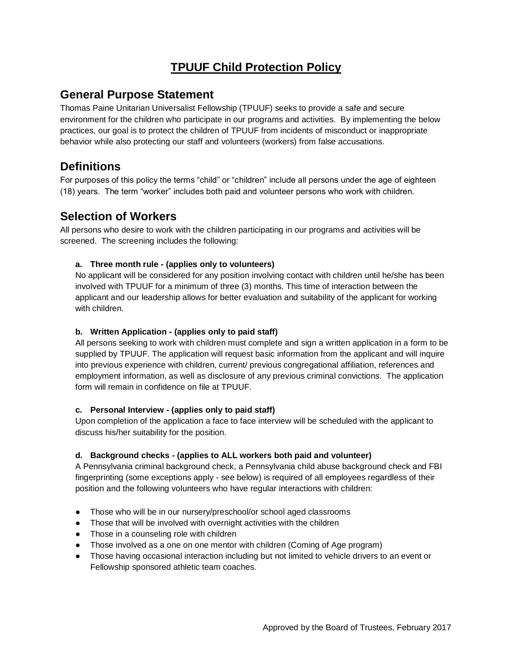# **TPUUF Child Protection Policy**

### **General Purpose Statement**

Thomas Paine Unitarian Universalist Fellowship (TPUUF) seeks to provide a safe and secure environment for the children who participate in our programs and activities. By implementing the below practices, our goal is to protect the children of TPUUF from incidents of misconduct or inappropriate behavior while also protecting our staff and volunteers (workers) from false accusations.

### **Definitions**

For purposes of this policy the terms "child" or "children" include all persons under the age of eighteen (18) years. The term "worker" includes both paid and volunteer persons who work with children.

## **Selection of Workers**

All persons who desire to work with the children participating in our programs and activities will be screened. The screening includes the following:

### **a. Three month rule - (applies only to volunteers)**

No applicant will be considered for any position involving contact with children until he/she has been involved with TPUUF for a minimum of three (3) months. This time of interaction between the applicant and our leadership allows for better evaluation and suitability of the applicant for working with children.

#### **b. Written Application - (applies only to paid staff)**

All persons seeking to work with children must complete and sign a written application in a form to be supplied by TPUUF. The application will request basic information from the applicant and will inquire into previous experience with children, current/ previous congregational affiliation, references and employment information, as well as disclosure of any previous criminal convictions. The application form will remain in confidence on file at TPUUF.

#### **c. Personal Interview - (applies only to paid staff)**

Upon completion of the application a face to face interview will be scheduled with the applicant to discuss his/her suitability for the position.

#### **d. Background checks - (applies to ALL workers both paid and volunteer)**

A Pennsylvania criminal background check, a Pennsylvania child abuse background check and FBI fingerprinting (some exceptions apply - see below) is required of all employees regardless of their position and the following volunteers who have regular interactions with children:

- Those who will be in our nursery/preschool/or school aged classrooms
- Those that will be involved with overnight activities with the children
- Those in a counseling role with children
- Those involved as a one on one mentor with children (Coming of Age program)
- Those having occasional interaction including but not limited to vehicle drivers to an event or Fellowship sponsored athletic team coaches.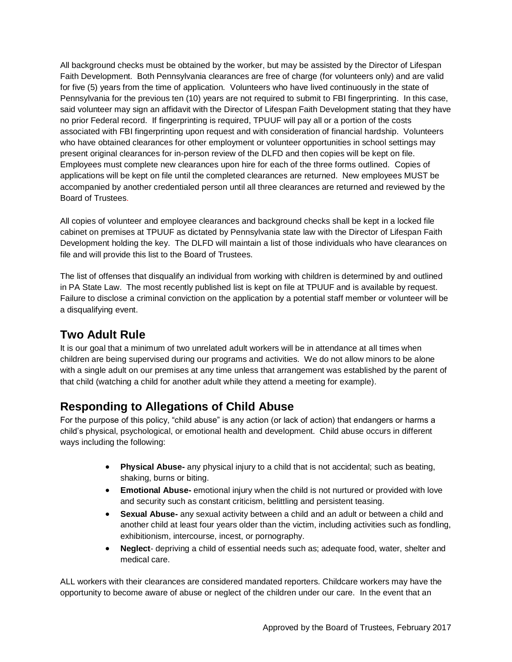All background checks must be obtained by the worker, but may be assisted by the Director of Lifespan Faith Development. Both Pennsylvania clearances are free of charge (for volunteers only) and are valid for five (5) years from the time of application. Volunteers who have lived continuously in the state of Pennsylvania for the previous ten (10) years are not required to submit to FBI fingerprinting. In this case, said volunteer may sign an affidavit with the Director of Lifespan Faith Development stating that they have no prior Federal record. If fingerprinting is required, TPUUF will pay all or a portion of the costs associated with FBI fingerprinting upon request and with consideration of financial hardship. Volunteers who have obtained clearances for other employment or volunteer opportunities in school settings may present original clearances for in-person review of the DLFD and then copies will be kept on file. Employees must complete new clearances upon hire for each of the three forms outlined. Copies of applications will be kept on file until the completed clearances are returned. New employees MUST be accompanied by another credentialed person until all three clearances are returned and reviewed by the Board of Trustees.

All copies of volunteer and employee clearances and background checks shall be kept in a locked file cabinet on premises at TPUUF as dictated by Pennsylvania state law with the Director of Lifespan Faith Development holding the key. The DLFD will maintain a list of those individuals who have clearances on file and will provide this list to the Board of Trustees.

The list of offenses that disqualify an individual from working with children is determined by and outlined in PA State Law. The most recently published list is kept on file at TPUUF and is available by request. Failure to disclose a criminal conviction on the application by a potential staff member or volunteer will be a disqualifying event.

# **Two Adult Rule**

It is our goal that a minimum of two unrelated adult workers will be in attendance at all times when children are being supervised during our programs and activities. We do not allow minors to be alone with a single adult on our premises at any time unless that arrangement was established by the parent of that child (watching a child for another adult while they attend a meeting for example).

# **Responding to Allegations of Child Abuse**

For the purpose of this policy, "child abuse" is any action (or lack of action) that endangers or harms a child's physical, psychological, or emotional health and development. Child abuse occurs in different ways including the following:

- **Physical Abuse-** any physical injury to a child that is not accidental; such as beating, shaking, burns or biting.
- **Emotional Abuse-** emotional injury when the child is not nurtured or provided with love and security such as constant criticism, belittling and persistent teasing.
- **Sexual Abuse-** any sexual activity between a child and an adult or between a child and another child at least four years older than the victim, including activities such as fondling, exhibitionism, intercourse, incest, or pornography.
- **Neglect** depriving a child of essential needs such as; adequate food, water, shelter and medical care.

ALL workers with their clearances are considered mandated reporters. Childcare workers may have the opportunity to become aware of abuse or neglect of the children under our care. In the event that an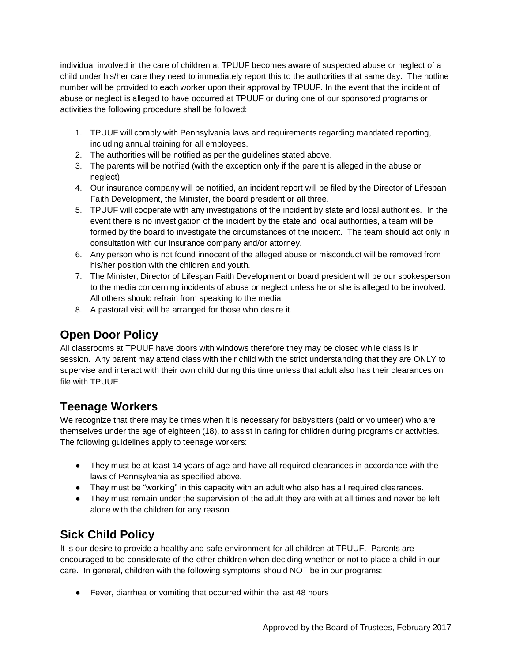individual involved in the care of children at TPUUF becomes aware of suspected abuse or neglect of a child under his/her care they need to immediately report this to the authorities that same day. The hotline number will be provided to each worker upon their approval by TPUUF. In the event that the incident of abuse or neglect is alleged to have occurred at TPUUF or during one of our sponsored programs or activities the following procedure shall be followed:

- 1. TPUUF will comply with Pennsylvania laws and requirements regarding mandated reporting, including annual training for all employees.
- 2. The authorities will be notified as per the guidelines stated above.
- 3. The parents will be notified (with the exception only if the parent is alleged in the abuse or neglect)
- 4. Our insurance company will be notified, an incident report will be filed by the Director of Lifespan Faith Development, the Minister, the board president or all three.
- 5. TPUUF will cooperate with any investigations of the incident by state and local authorities. In the event there is no investigation of the incident by the state and local authorities, a team will be formed by the board to investigate the circumstances of the incident. The team should act only in consultation with our insurance company and/or attorney.
- 6. Any person who is not found innocent of the alleged abuse or misconduct will be removed from his/her position with the children and youth.
- 7. The Minister, Director of Lifespan Faith Development or board president will be our spokesperson to the media concerning incidents of abuse or neglect unless he or she is alleged to be involved. All others should refrain from speaking to the media.
- 8. A pastoral visit will be arranged for those who desire it.

# **Open Door Policy**

All classrooms at TPUUF have doors with windows therefore they may be closed while class is in session. Any parent may attend class with their child with the strict understanding that they are ONLY to supervise and interact with their own child during this time unless that adult also has their clearances on file with TPUUF.

# **Teenage Workers**

We recognize that there may be times when it is necessary for babysitters (paid or volunteer) who are themselves under the age of eighteen (18), to assist in caring for children during programs or activities. The following guidelines apply to teenage workers:

- They must be at least 14 years of age and have all required clearances in accordance with the laws of Pennsylvania as specified above.
- They must be "working" in this capacity with an adult who also has all required clearances.
- They must remain under the supervision of the adult they are with at all times and never be left alone with the children for any reason.

# **Sick Child Policy**

It is our desire to provide a healthy and safe environment for all children at TPUUF. Parents are encouraged to be considerate of the other children when deciding whether or not to place a child in our care. In general, children with the following symptoms should NOT be in our programs:

● Fever, diarrhea or vomiting that occurred within the last 48 hours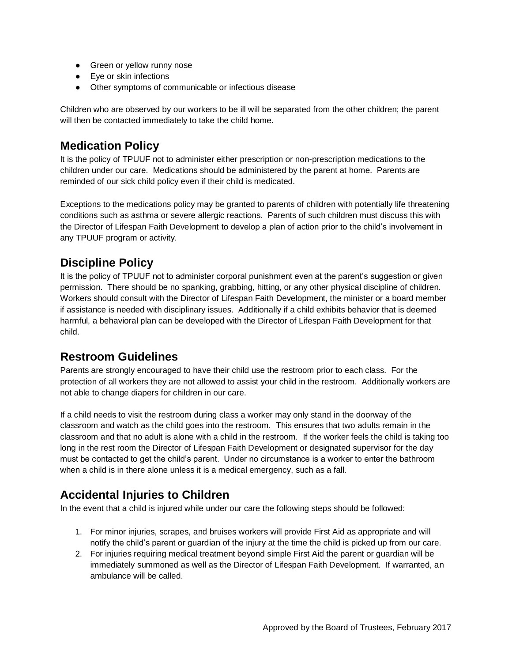- Green or yellow runny nose
- Eye or skin infections
- Other symptoms of communicable or infectious disease

Children who are observed by our workers to be ill will be separated from the other children; the parent will then be contacted immediately to take the child home.

## **Medication Policy**

It is the policy of TPUUF not to administer either prescription or non-prescription medications to the children under our care. Medications should be administered by the parent at home. Parents are reminded of our sick child policy even if their child is medicated.

Exceptions to the medications policy may be granted to parents of children with potentially life threatening conditions such as asthma or severe allergic reactions. Parents of such children must discuss this with the Director of Lifespan Faith Development to develop a plan of action prior to the child's involvement in any TPUUF program or activity.

# **Discipline Policy**

It is the policy of TPUUF not to administer corporal punishment even at the parent's suggestion or given permission. There should be no spanking, grabbing, hitting, or any other physical discipline of children. Workers should consult with the Director of Lifespan Faith Development, the minister or a board member if assistance is needed with disciplinary issues. Additionally if a child exhibits behavior that is deemed harmful, a behavioral plan can be developed with the Director of Lifespan Faith Development for that child.

## **Restroom Guidelines**

Parents are strongly encouraged to have their child use the restroom prior to each class. For the protection of all workers they are not allowed to assist your child in the restroom. Additionally workers are not able to change diapers for children in our care.

If a child needs to visit the restroom during class a worker may only stand in the doorway of the classroom and watch as the child goes into the restroom. This ensures that two adults remain in the classroom and that no adult is alone with a child in the restroom. If the worker feels the child is taking too long in the rest room the Director of Lifespan Faith Development or designated supervisor for the day must be contacted to get the child's parent. Under no circumstance is a worker to enter the bathroom when a child is in there alone unless it is a medical emergency, such as a fall.

# **Accidental Injuries to Children**

In the event that a child is injured while under our care the following steps should be followed:

- 1. For minor injuries, scrapes, and bruises workers will provide First Aid as appropriate and will notify the child's parent or guardian of the injury at the time the child is picked up from our care.
- 2. For injuries requiring medical treatment beyond simple First Aid the parent or guardian will be immediately summoned as well as the Director of Lifespan Faith Development. If warranted, an ambulance will be called.